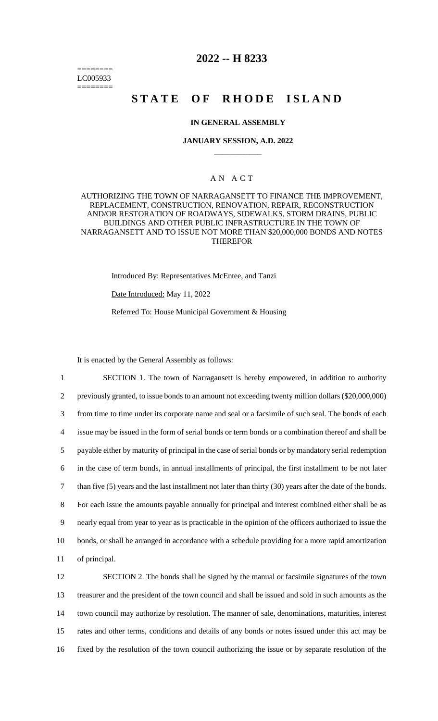======== LC005933 ========

# **2022 -- H 8233**

# **STATE OF RHODE ISLAND**

# **IN GENERAL ASSEMBLY**

#### **JANUARY SESSION, A.D. 2022 \_\_\_\_\_\_\_\_\_\_\_\_**

# A N A C T

# AUTHORIZING THE TOWN OF NARRAGANSETT TO FINANCE THE IMPROVEMENT, REPLACEMENT, CONSTRUCTION, RENOVATION, REPAIR, RECONSTRUCTION AND/OR RESTORATION OF ROADWAYS, SIDEWALKS, STORM DRAINS, PUBLIC BUILDINGS AND OTHER PUBLIC INFRASTRUCTURE IN THE TOWN OF NARRAGANSETT AND TO ISSUE NOT MORE THAN \$20,000,000 BONDS AND NOTES THEREFOR

Introduced By: Representatives McEntee, and Tanzi

Date Introduced: May 11, 2022

Referred To: House Municipal Government & Housing

It is enacted by the General Assembly as follows:

 SECTION 1. The town of Narragansett is hereby empowered, in addition to authority previously granted, to issue bonds to an amount not exceeding twenty million dollars (\$20,000,000) from time to time under its corporate name and seal or a facsimile of such seal. The bonds of each issue may be issued in the form of serial bonds or term bonds or a combination thereof and shall be payable either by maturity of principal in the case of serial bonds or by mandatory serial redemption in the case of term bonds, in annual installments of principal, the first installment to be not later than five (5) years and the last installment not later than thirty (30) years after the date of the bonds. For each issue the amounts payable annually for principal and interest combined either shall be as nearly equal from year to year as is practicable in the opinion of the officers authorized to issue the bonds, or shall be arranged in accordance with a schedule providing for a more rapid amortization of principal.

 SECTION 2. The bonds shall be signed by the manual or facsimile signatures of the town treasurer and the president of the town council and shall be issued and sold in such amounts as the town council may authorize by resolution. The manner of sale, denominations, maturities, interest rates and other terms, conditions and details of any bonds or notes issued under this act may be fixed by the resolution of the town council authorizing the issue or by separate resolution of the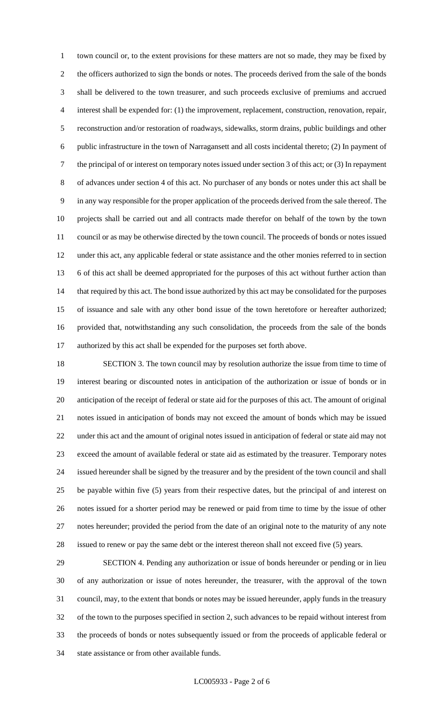town council or, to the extent provisions for these matters are not so made, they may be fixed by the officers authorized to sign the bonds or notes. The proceeds derived from the sale of the bonds shall be delivered to the town treasurer, and such proceeds exclusive of premiums and accrued interest shall be expended for: (1) the improvement, replacement, construction, renovation, repair, reconstruction and/or restoration of roadways, sidewalks, storm drains, public buildings and other public infrastructure in the town of Narragansett and all costs incidental thereto; (2) In payment of the principal of or interest on temporary notes issued under section 3 of this act; or (3) In repayment of advances under section 4 of this act. No purchaser of any bonds or notes under this act shall be in any way responsible for the proper application of the proceeds derived from the sale thereof. The projects shall be carried out and all contracts made therefor on behalf of the town by the town council or as may be otherwise directed by the town council. The proceeds of bonds or notes issued under this act, any applicable federal or state assistance and the other monies referred to in section 6 of this act shall be deemed appropriated for the purposes of this act without further action than 14 that required by this act. The bond issue authorized by this act may be consolidated for the purposes of issuance and sale with any other bond issue of the town heretofore or hereafter authorized; provided that, notwithstanding any such consolidation, the proceeds from the sale of the bonds authorized by this act shall be expended for the purposes set forth above.

 SECTION 3. The town council may by resolution authorize the issue from time to time of interest bearing or discounted notes in anticipation of the authorization or issue of bonds or in anticipation of the receipt of federal or state aid for the purposes of this act. The amount of original notes issued in anticipation of bonds may not exceed the amount of bonds which may be issued under this act and the amount of original notes issued in anticipation of federal or state aid may not exceed the amount of available federal or state aid as estimated by the treasurer. Temporary notes issued hereunder shall be signed by the treasurer and by the president of the town council and shall be payable within five (5) years from their respective dates, but the principal of and interest on notes issued for a shorter period may be renewed or paid from time to time by the issue of other notes hereunder; provided the period from the date of an original note to the maturity of any note issued to renew or pay the same debt or the interest thereon shall not exceed five (5) years.

 SECTION 4. Pending any authorization or issue of bonds hereunder or pending or in lieu of any authorization or issue of notes hereunder, the treasurer, with the approval of the town council, may, to the extent that bonds or notes may be issued hereunder, apply funds in the treasury of the town to the purposes specified in section 2, such advances to be repaid without interest from the proceeds of bonds or notes subsequently issued or from the proceeds of applicable federal or state assistance or from other available funds.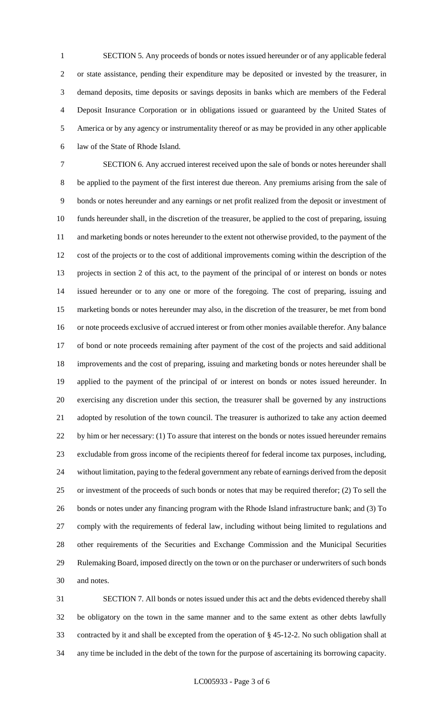SECTION 5. Any proceeds of bonds or notes issued hereunder or of any applicable federal or state assistance, pending their expenditure may be deposited or invested by the treasurer, in demand deposits, time deposits or savings deposits in banks which are members of the Federal Deposit Insurance Corporation or in obligations issued or guaranteed by the United States of America or by any agency or instrumentality thereof or as may be provided in any other applicable law of the State of Rhode Island.

 SECTION 6. Any accrued interest received upon the sale of bonds or notes hereunder shall be applied to the payment of the first interest due thereon. Any premiums arising from the sale of bonds or notes hereunder and any earnings or net profit realized from the deposit or investment of funds hereunder shall, in the discretion of the treasurer, be applied to the cost of preparing, issuing and marketing bonds or notes hereunder to the extent not otherwise provided, to the payment of the cost of the projects or to the cost of additional improvements coming within the description of the projects in section 2 of this act, to the payment of the principal of or interest on bonds or notes issued hereunder or to any one or more of the foregoing. The cost of preparing, issuing and marketing bonds or notes hereunder may also, in the discretion of the treasurer, be met from bond or note proceeds exclusive of accrued interest or from other monies available therefor. Any balance of bond or note proceeds remaining after payment of the cost of the projects and said additional improvements and the cost of preparing, issuing and marketing bonds or notes hereunder shall be applied to the payment of the principal of or interest on bonds or notes issued hereunder. In exercising any discretion under this section, the treasurer shall be governed by any instructions adopted by resolution of the town council. The treasurer is authorized to take any action deemed by him or her necessary: (1) To assure that interest on the bonds or notes issued hereunder remains excludable from gross income of the recipients thereof for federal income tax purposes, including, without limitation, paying to the federal government any rebate of earnings derived from the deposit or investment of the proceeds of such bonds or notes that may be required therefor; (2) To sell the bonds or notes under any financing program with the Rhode Island infrastructure bank; and (3) To comply with the requirements of federal law, including without being limited to regulations and other requirements of the Securities and Exchange Commission and the Municipal Securities Rulemaking Board, imposed directly on the town or on the purchaser or underwriters of such bonds and notes.

 SECTION 7. All bonds or notes issued under this act and the debts evidenced thereby shall be obligatory on the town in the same manner and to the same extent as other debts lawfully contracted by it and shall be excepted from the operation of § 45-12-2. No such obligation shall at any time be included in the debt of the town for the purpose of ascertaining its borrowing capacity.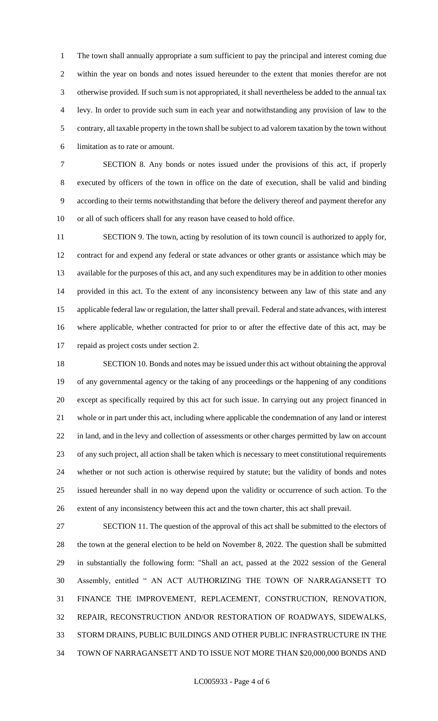The town shall annually appropriate a sum sufficient to pay the principal and interest coming due within the year on bonds and notes issued hereunder to the extent that monies therefor are not otherwise provided. If such sum is not appropriated, it shall nevertheless be added to the annual tax levy. In order to provide such sum in each year and notwithstanding any provision of law to the contrary, all taxable property in the town shall be subject to ad valorem taxation by the town without limitation as to rate or amount.

 SECTION 8. Any bonds or notes issued under the provisions of this act, if properly executed by officers of the town in office on the date of execution, shall be valid and binding according to their terms notwithstanding that before the delivery thereof and payment therefor any or all of such officers shall for any reason have ceased to hold office.

 SECTION 9. The town, acting by resolution of its town council is authorized to apply for, contract for and expend any federal or state advances or other grants or assistance which may be available for the purposes of this act, and any such expenditures may be in addition to other monies provided in this act. To the extent of any inconsistency between any law of this state and any applicable federal law or regulation, the latter shall prevail. Federal and state advances, with interest where applicable, whether contracted for prior to or after the effective date of this act, may be repaid as project costs under section 2.

 SECTION 10. Bonds and notes may be issued under this act without obtaining the approval of any governmental agency or the taking of any proceedings or the happening of any conditions except as specifically required by this act for such issue. In carrying out any project financed in whole or in part under this act, including where applicable the condemnation of any land or interest in land, and in the levy and collection of assessments or other charges permitted by law on account of any such project, all action shall be taken which is necessary to meet constitutional requirements whether or not such action is otherwise required by statute; but the validity of bonds and notes issued hereunder shall in no way depend upon the validity or occurrence of such action. To the extent of any inconsistency between this act and the town charter, this act shall prevail.

 SECTION 11. The question of the approval of this act shall be submitted to the electors of the town at the general election to be held on November 8, 2022. The question shall be submitted in substantially the following form: "Shall an act, passed at the 2022 session of the General Assembly, entitled " AN ACT AUTHORIZING THE TOWN OF NARRAGANSETT TO FINANCE THE IMPROVEMENT, REPLACEMENT, CONSTRUCTION, RENOVATION, REPAIR, RECONSTRUCTION AND/OR RESTORATION OF ROADWAYS, SIDEWALKS, STORM DRAINS, PUBLIC BUILDINGS AND OTHER PUBLIC INFRASTRUCTURE IN THE TOWN OF NARRAGANSETT AND TO ISSUE NOT MORE THAN \$20,000,000 BONDS AND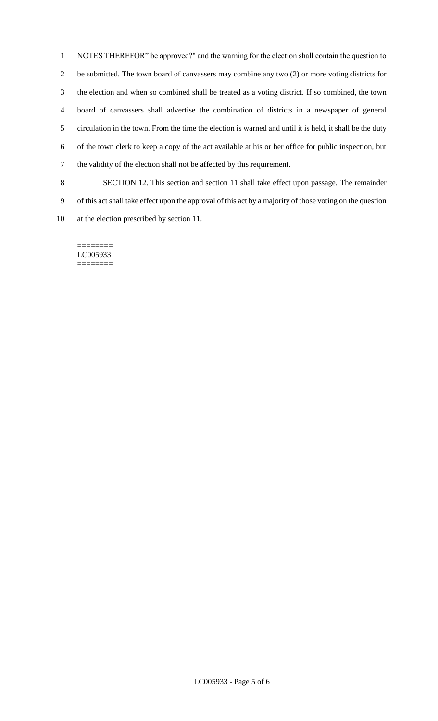NOTES THEREFOR" be approved?" and the warning for the election shall contain the question to be submitted. The town board of canvassers may combine any two (2) or more voting districts for the election and when so combined shall be treated as a voting district. If so combined, the town board of canvassers shall advertise the combination of districts in a newspaper of general circulation in the town. From the time the election is warned and until it is held, it shall be the duty of the town clerk to keep a copy of the act available at his or her office for public inspection, but the validity of the election shall not be affected by this requirement.

 SECTION 12. This section and section 11 shall take effect upon passage. The remainder of this act shall take effect upon the approval of this act by a majority of those voting on the question at the election prescribed by section 11.

======== LC005933 ========